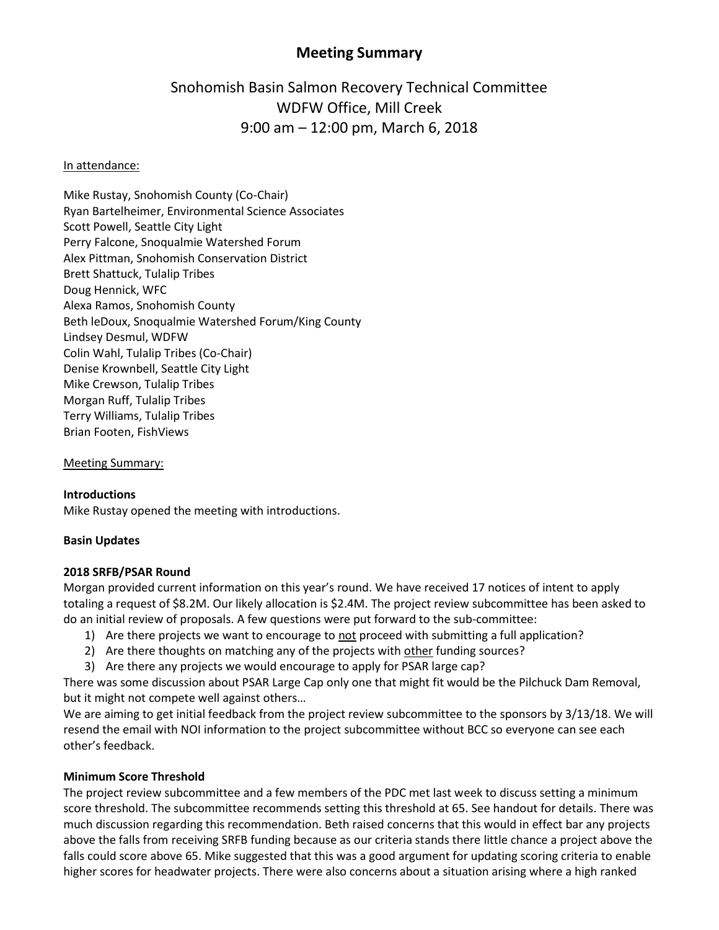# **Meeting Summary**

# Snohomish Basin Salmon Recovery Technical Committee WDFW Office, Mill Creek 9:00 am – 12:00 pm, March 6, 2018

#### In attendance:

Mike Rustay, Snohomish County (Co-Chair) Ryan Bartelheimer, Environmental Science Associates Scott Powell, Seattle City Light Perry Falcone, Snoqualmie Watershed Forum Alex Pittman, Snohomish Conservation District Brett Shattuck, Tulalip Tribes Doug Hennick, WFC Alexa Ramos, Snohomish County Beth leDoux, Snoqualmie Watershed Forum/King County Lindsey Desmul, WDFW Colin Wahl, Tulalip Tribes (Co-Chair) Denise Krownbell, Seattle City Light Mike Crewson, Tulalip Tribes Morgan Ruff, Tulalip Tribes Terry Williams, Tulalip Tribes Brian Footen, FishViews

Meeting Summary:

#### **Introductions**

Mike Rustay opened the meeting with introductions.

#### **Basin Updates**

#### **2018 SRFB/PSAR Round**

Morgan provided current information on this year's round. We have received 17 notices of intent to apply totaling a request of \$8.2M. Our likely allocation is \$2.4M. The project review subcommittee has been asked to do an initial review of proposals. A few questions were put forward to the sub-committee:

- 1) Are there projects we want to encourage to not proceed with submitting a full application?
- 2) Are there thoughts on matching any of the projects with other funding sources?
- 3) Are there any projects we would encourage to apply for PSAR large cap?

There was some discussion about PSAR Large Cap only one that might fit would be the Pilchuck Dam Removal, but it might not compete well against others…

We are aiming to get initial feedback from the project review subcommittee to the sponsors by 3/13/18. We will resend the email with NOI information to the project subcommittee without BCC so everyone can see each other's feedback.

#### **Minimum Score Threshold**

The project review subcommittee and a few members of the PDC met last week to discuss setting a minimum score threshold. The subcommittee recommends setting this threshold at 65. See handout for details. There was much discussion regarding this recommendation. Beth raised concerns that this would in effect bar any projects above the falls from receiving SRFB funding because as our criteria stands there little chance a project above the falls could score above 65. Mike suggested that this was a good argument for updating scoring criteria to enable higher scores for headwater projects. There were also concerns about a situation arising where a high ranked